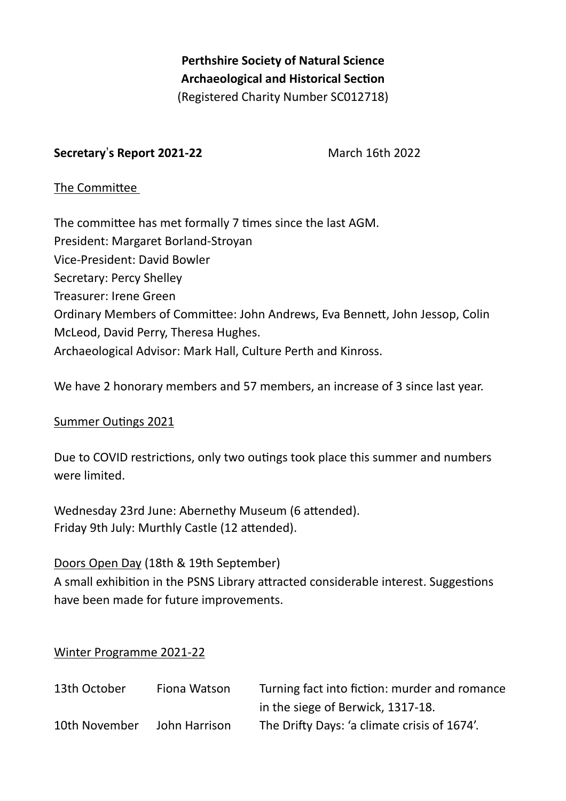# **Perthshire Society of Natural Science Archaeological and Historical Section**

(Registered Charity Number SC012718)

#### **Secretary**!**s Report 2021-22** March 16th 2022

#### The Committee

The committee has met formally 7 times since the last AGM. President: Margaret Borland-Stroyan Vice-President: David Bowler Secretary: Percy Shelley Treasurer: Irene Green Ordinary Members of Committee: John Andrews, Eva Bennett, John Jessop, Colin McLeod, David Perry, Theresa Hughes. Archaeological Advisor: Mark Hall, Culture Perth and Kinross.

We have 2 honorary members and 57 members, an increase of 3 since last year.

## Summer Outings 2021

Due to COVID restrictions, only two outings took place this summer and numbers were limited.

Wednesday 23rd June: Abernethy Museum (6 attended). Friday 9th July: Murthly Castle (12 attended).

## Doors Open Day (18th & 19th September)

A small exhibition in the PSNS Library attracted considerable interest. Suggestions have been made for future improvements.

## Winter Programme 2021-22

| 13th October  | Fiona Watson  | Turning fact into fiction: murder and romance |
|---------------|---------------|-----------------------------------------------|
|               |               | in the siege of Berwick, 1317-18.             |
| 10th November | John Harrison | The Drifty Days: 'a climate crisis of 1674'.  |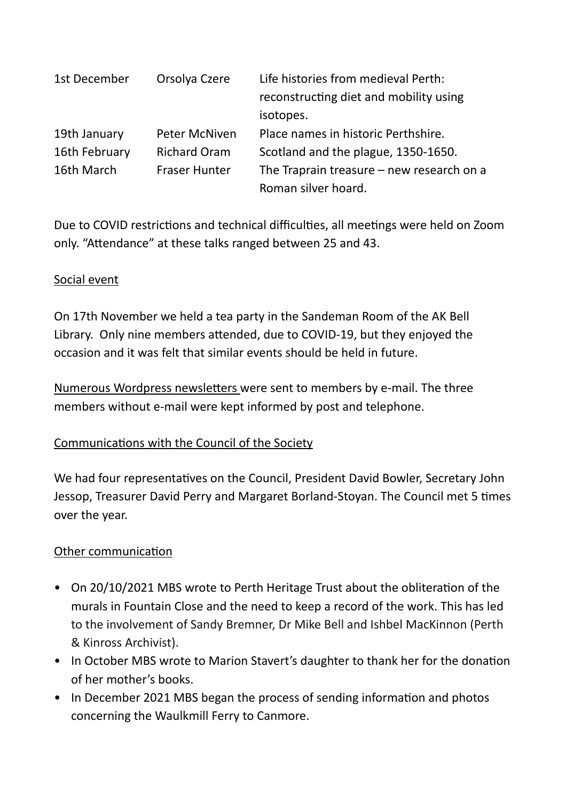| 1st December  | Orsolya Czere        | Life histories from medieval Perth:<br>reconstructing diet and mobility using<br>isotopes. |
|---------------|----------------------|--------------------------------------------------------------------------------------------|
| 19th January  | Peter McNiven        | Place names in historic Perthshire.                                                        |
| 16th February | <b>Richard Oram</b>  | Scotland and the plague, 1350-1650.                                                        |
| 16th March    | <b>Fraser Hunter</b> | The Traprain treasure $-$ new research on a                                                |
|               |                      | Roman silver hoard.                                                                        |

Due to COVID restrictions and technical difficulties, all meetings were held on Zoom only. "Attendance" at these talks ranged between 25 and 43.

## Social event

On 17th November we held a tea party in the Sandeman Room of the AK Bell Library. Only nine members attended, due to COVID-19, but they enjoyed the occasion and it was felt that similar events should be held in future.

Numerous Wordpress newsletters were sent to members by e-mail. The three members without e-mail were kept informed by post and telephone.

## Communications with the Council of the Society

We had four representatives on the Council, President David Bowler, Secretary John Jessop, Treasurer David Perry and Margaret Borland-Stoyan. The Council met 5 times over the year.

## Other communication

- On 20/10/2021 MBS wrote to Perth Heritage Trust about the obliteration of the murals in Fountain Close and the need to keep a record of the work. This has led to the involvement of Sandy Bremner, Dr Mike Bell and Ishbel MacKinnon (Perth & Kinross Archivist).
- In October MBS wrote to Marion Stavert's daughter to thank her for the donation of her mother's books.
- In December 2021 MBS began the process of sending information and photos concerning the Waulkmill Ferry to Canmore.